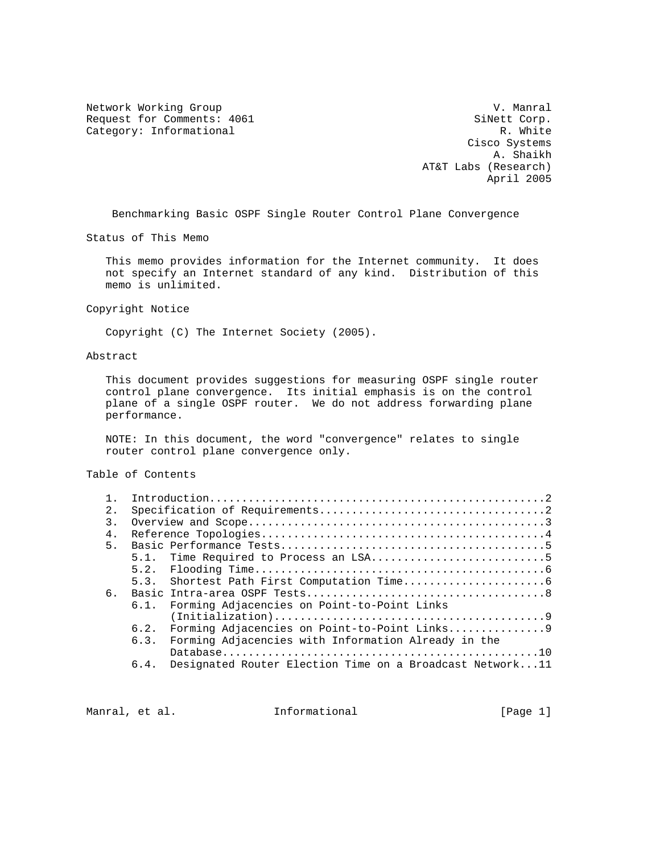Network Working Group and Communications of the V. Manral Request for Comments: 4061 SiNett Corp.<br>
Category: Informational R. White Category: Informational

 Cisco Systems A. Shaikh AT&T Labs (Research) April 2005

Benchmarking Basic OSPF Single Router Control Plane Convergence

Status of This Memo

 This memo provides information for the Internet community. It does not specify an Internet standard of any kind. Distribution of this memo is unlimited.

Copyright Notice

Copyright (C) The Internet Society (2005).

## Abstract

 This document provides suggestions for measuring OSPF single router control plane convergence. Its initial emphasis is on the control plane of a single OSPF router. We do not address forwarding plane performance.

 NOTE: In this document, the word "convergence" relates to single router control plane convergence only.

Table of Contents

| 2. |      |                                                          |
|----|------|----------------------------------------------------------|
| 3. |      |                                                          |
| 4. |      |                                                          |
| 5. |      |                                                          |
|    |      |                                                          |
|    |      |                                                          |
|    | 5.3. |                                                          |
| б. |      |                                                          |
|    | 6.1. | Forming Adjacencies on Point-to-Point Links              |
|    |      |                                                          |
|    | 6.2. |                                                          |
|    | 6.3. | Forming Adjacencies with Information Already in the      |
|    |      |                                                          |
|    | 6.4. | Designated Router Election Time on a Broadcast Network11 |

Manral, et al. **Informational Example 1** [Page 1]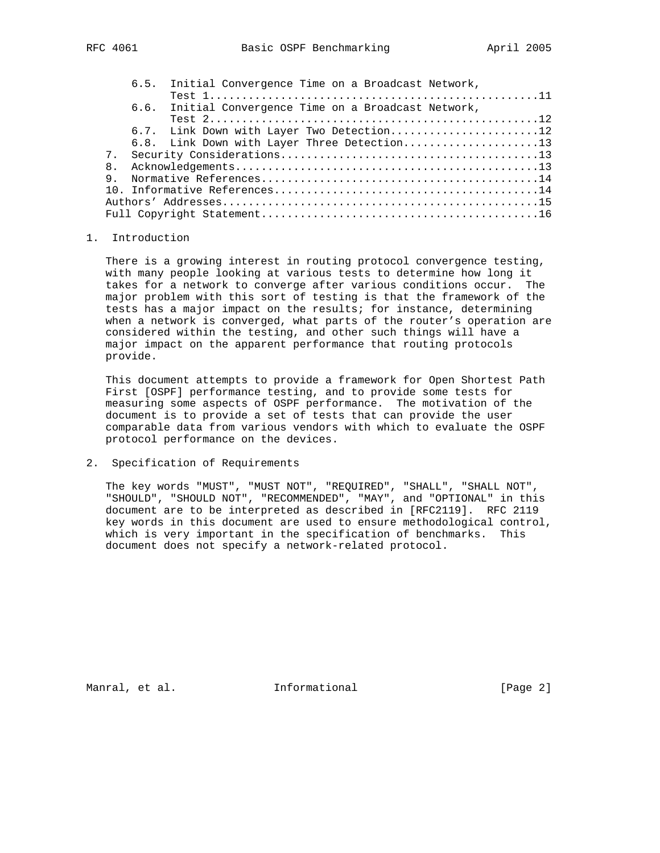| 6.6. Initial Convergence Time on a Broadcast Network, |  |  |
|-------------------------------------------------------|--|--|
| Test $212$                                            |  |  |
| 6.7. Link Down with Layer Two Detection12             |  |  |
| 6.8. Link Down with Layer Three Detection13           |  |  |
| 7 <sub>1</sub>                                        |  |  |
| 8 <sub>1</sub>                                        |  |  |
| 9                                                     |  |  |
|                                                       |  |  |
|                                                       |  |  |
|                                                       |  |  |

# 1. Introduction

 There is a growing interest in routing protocol convergence testing, with many people looking at various tests to determine how long it takes for a network to converge after various conditions occur. The major problem with this sort of testing is that the framework of the tests has a major impact on the results; for instance, determining when a network is converged, what parts of the router's operation are considered within the testing, and other such things will have a major impact on the apparent performance that routing protocols provide.

 This document attempts to provide a framework for Open Shortest Path First [OSPF] performance testing, and to provide some tests for measuring some aspects of OSPF performance. The motivation of the document is to provide a set of tests that can provide the user comparable data from various vendors with which to evaluate the OSPF protocol performance on the devices.

## 2. Specification of Requirements

 The key words "MUST", "MUST NOT", "REQUIRED", "SHALL", "SHALL NOT", "SHOULD", "SHOULD NOT", "RECOMMENDED", "MAY", and "OPTIONAL" in this document are to be interpreted as described in [RFC2119]. RFC 2119 key words in this document are used to ensure methodological control, which is very important in the specification of benchmarks. This document does not specify a network-related protocol.

Manral, et al. 1nformational 1999 [Page 2]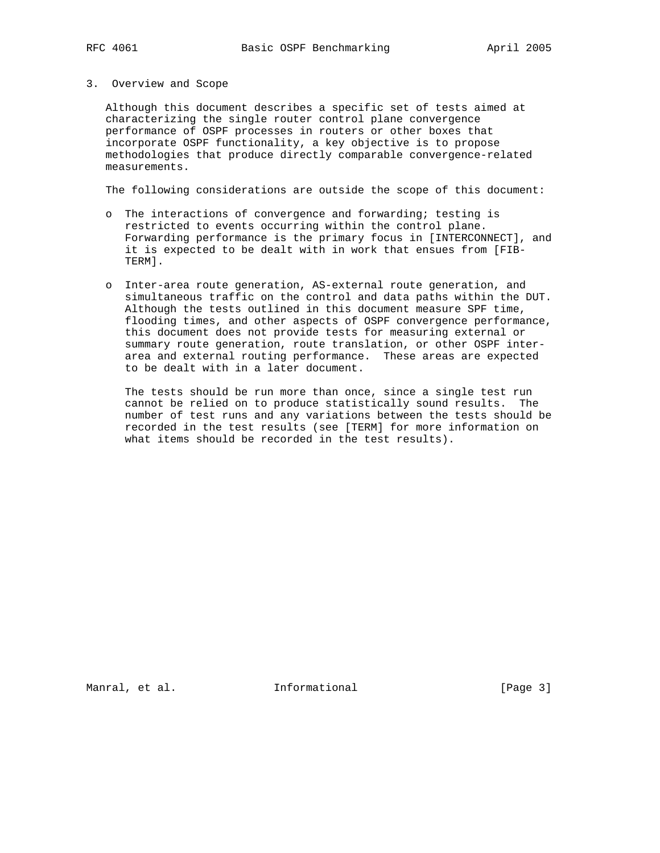### 3. Overview and Scope

 Although this document describes a specific set of tests aimed at characterizing the single router control plane convergence performance of OSPF processes in routers or other boxes that incorporate OSPF functionality, a key objective is to propose methodologies that produce directly comparable convergence-related measurements.

The following considerations are outside the scope of this document:

- o The interactions of convergence and forwarding; testing is restricted to events occurring within the control plane. Forwarding performance is the primary focus in [INTERCONNECT], and it is expected to be dealt with in work that ensues from [FIB- TERM].
- o Inter-area route generation, AS-external route generation, and simultaneous traffic on the control and data paths within the DUT. Although the tests outlined in this document measure SPF time, flooding times, and other aspects of OSPF convergence performance, this document does not provide tests for measuring external or summary route generation, route translation, or other OSPF inter area and external routing performance. These areas are expected to be dealt with in a later document.

 The tests should be run more than once, since a single test run cannot be relied on to produce statistically sound results. The number of test runs and any variations between the tests should be recorded in the test results (see [TERM] for more information on what items should be recorded in the test results).

Manral, et al. 1nformational 1999 [Page 3]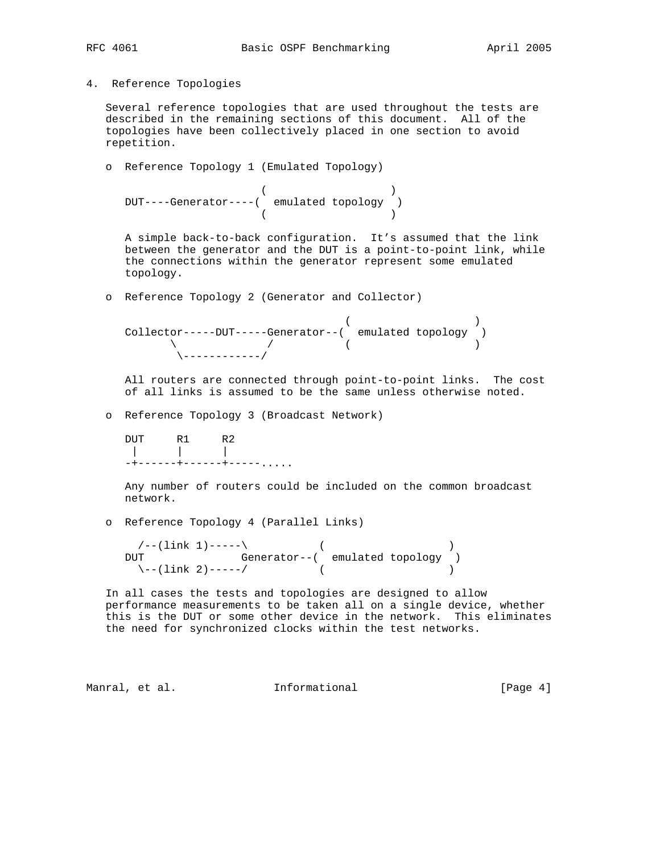4. Reference Topologies

 Several reference topologies that are used throughout the tests are described in the remaining sections of this document. All of the topologies have been collectively placed in one section to avoid repetition.

```
 o Reference Topology 1 (Emulated Topology)
```

```
( DUT----Generator----( emulated topology )
(
```
 A simple back-to-back configuration. It's assumed that the link between the generator and the DUT is a point-to-point link, while the connections within the generator represent some emulated topology.

o Reference Topology 2 (Generator and Collector)

 $($  ) Collector-----DUT-----Generator--( emulated topology )  $\qquad \qquad \wedge$  ( ) \------------/

 All routers are connected through point-to-point links. The cost of all links is assumed to be the same unless otherwise noted.

o Reference Topology 3 (Broadcast Network)

 DUT R1 R2 | | | -+------+------+-----.....

> Any number of routers could be included on the common broadcast network.

o Reference Topology 4 (Parallel Links)

 $\sqrt{--(1\text{ink }1)---}\$  ( DUT Generator--( emulated topology )  $\setminus$ --(link 2)-----/ (

 In all cases the tests and topologies are designed to allow performance measurements to be taken all on a single device, whether this is the DUT or some other device in the network. This eliminates the need for synchronized clocks within the test networks.

Manral, et al. 1nformational 1999 [Page 4]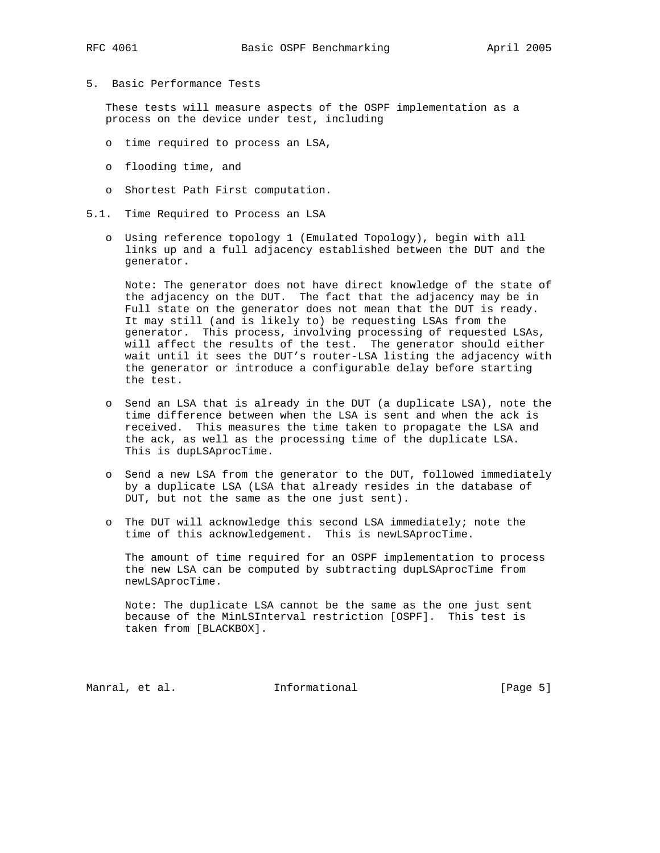- 
- 5. Basic Performance Tests

 These tests will measure aspects of the OSPF implementation as a process on the device under test, including

- o time required to process an LSA,
- o flooding time, and
- o Shortest Path First computation.
- 5.1. Time Required to Process an LSA
	- o Using reference topology 1 (Emulated Topology), begin with all links up and a full adjacency established between the DUT and the generator.

 Note: The generator does not have direct knowledge of the state of the adjacency on the DUT. The fact that the adjacency may be in Full state on the generator does not mean that the DUT is ready. It may still (and is likely to) be requesting LSAs from the generator. This process, involving processing of requested LSAs, will affect the results of the test. The generator should either wait until it sees the DUT's router-LSA listing the adjacency with the generator or introduce a configurable delay before starting the test.

- o Send an LSA that is already in the DUT (a duplicate LSA), note the time difference between when the LSA is sent and when the ack is received. This measures the time taken to propagate the LSA and the ack, as well as the processing time of the duplicate LSA. This is dupLSAprocTime.
- o Send a new LSA from the generator to the DUT, followed immediately by a duplicate LSA (LSA that already resides in the database of DUT, but not the same as the one just sent).
- o The DUT will acknowledge this second LSA immediately; note the time of this acknowledgement. This is newLSAprocTime.

 The amount of time required for an OSPF implementation to process the new LSA can be computed by subtracting dupLSAprocTime from newLSAprocTime.

 Note: The duplicate LSA cannot be the same as the one just sent because of the MinLSInterval restriction [OSPF]. This test is taken from [BLACKBOX].

Manral, et al. **Informational** [Page 5]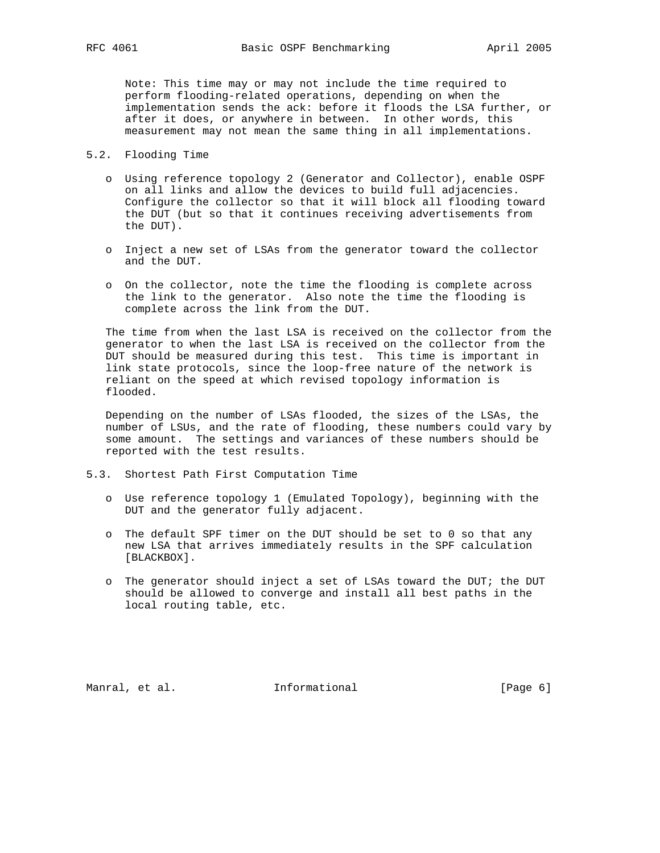Note: This time may or may not include the time required to perform flooding-related operations, depending on when the implementation sends the ack: before it floods the LSA further, or after it does, or anywhere in between. In other words, this measurement may not mean the same thing in all implementations.

- 5.2. Flooding Time
	- o Using reference topology 2 (Generator and Collector), enable OSPF on all links and allow the devices to build full adjacencies. Configure the collector so that it will block all flooding toward the DUT (but so that it continues receiving advertisements from the DUT).
	- o Inject a new set of LSAs from the generator toward the collector and the DUT.
	- o On the collector, note the time the flooding is complete across the link to the generator. Also note the time the flooding is complete across the link from the DUT.

 The time from when the last LSA is received on the collector from the generator to when the last LSA is received on the collector from the DUT should be measured during this test. This time is important in link state protocols, since the loop-free nature of the network is reliant on the speed at which revised topology information is flooded.

 Depending on the number of LSAs flooded, the sizes of the LSAs, the number of LSUs, and the rate of flooding, these numbers could vary by some amount. The settings and variances of these numbers should be reported with the test results.

- 5.3. Shortest Path First Computation Time
	- o Use reference topology 1 (Emulated Topology), beginning with the DUT and the generator fully adjacent.
	- o The default SPF timer on the DUT should be set to 0 so that any new LSA that arrives immediately results in the SPF calculation [BLACKBOX].
	- o The generator should inject a set of LSAs toward the DUT; the DUT should be allowed to converge and install all best paths in the local routing table, etc.

Manral, et al. **Informational** [Page 6]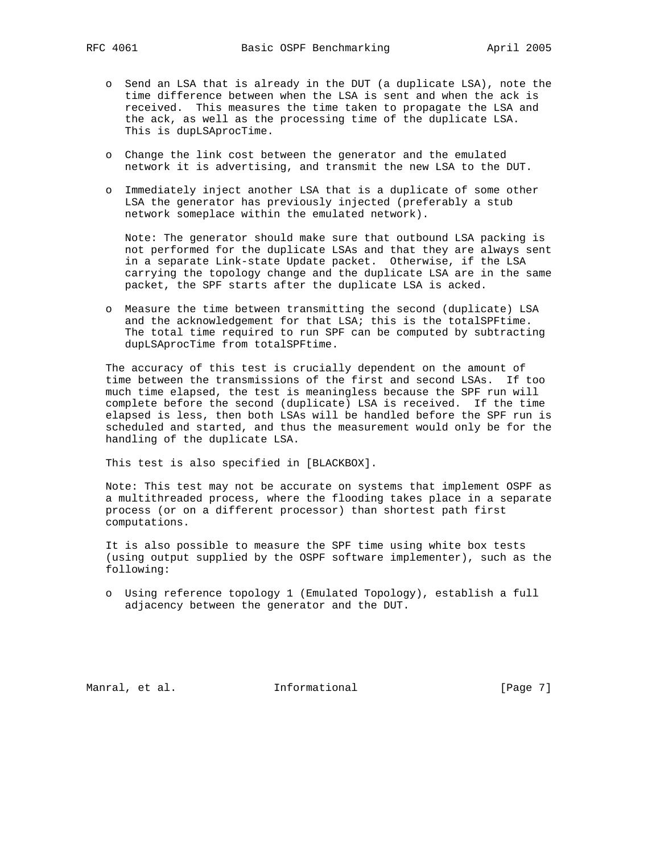- o Send an LSA that is already in the DUT (a duplicate LSA), note the time difference between when the LSA is sent and when the ack is received. This measures the time taken to propagate the LSA and the ack, as well as the processing time of the duplicate LSA. This is dupLSAprocTime.
- o Change the link cost between the generator and the emulated network it is advertising, and transmit the new LSA to the DUT.
- o Immediately inject another LSA that is a duplicate of some other LSA the generator has previously injected (preferably a stub network someplace within the emulated network).

 Note: The generator should make sure that outbound LSA packing is not performed for the duplicate LSAs and that they are always sent in a separate Link-state Update packet. Otherwise, if the LSA carrying the topology change and the duplicate LSA are in the same packet, the SPF starts after the duplicate LSA is acked.

 o Measure the time between transmitting the second (duplicate) LSA and the acknowledgement for that LSA; this is the totalSPFtime. The total time required to run SPF can be computed by subtracting dupLSAprocTime from totalSPFtime.

 The accuracy of this test is crucially dependent on the amount of time between the transmissions of the first and second LSAs. If too much time elapsed, the test is meaningless because the SPF run will complete before the second (duplicate) LSA is received. If the time elapsed is less, then both LSAs will be handled before the SPF run is scheduled and started, and thus the measurement would only be for the handling of the duplicate LSA.

This test is also specified in [BLACKBOX].

 Note: This test may not be accurate on systems that implement OSPF as a multithreaded process, where the flooding takes place in a separate process (or on a different processor) than shortest path first computations.

 It is also possible to measure the SPF time using white box tests (using output supplied by the OSPF software implementer), such as the following:

 o Using reference topology 1 (Emulated Topology), establish a full adjacency between the generator and the DUT.

Manral, et al. 1nformational 1999 [Page 7]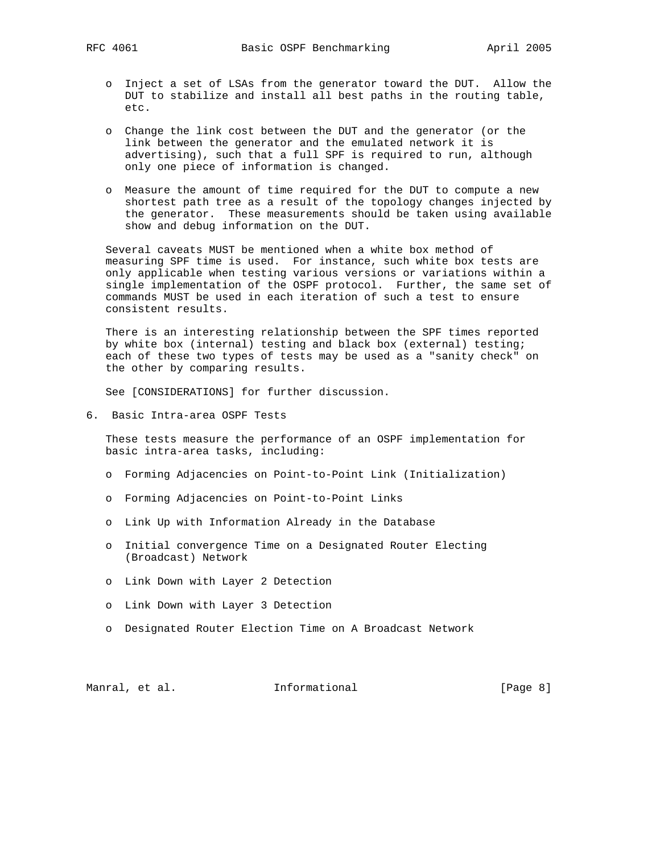- o Inject a set of LSAs from the generator toward the DUT. Allow the DUT to stabilize and install all best paths in the routing table, etc.
- o Change the link cost between the DUT and the generator (or the link between the generator and the emulated network it is advertising), such that a full SPF is required to run, although only one piece of information is changed.
- o Measure the amount of time required for the DUT to compute a new shortest path tree as a result of the topology changes injected by the generator. These measurements should be taken using available show and debug information on the DUT.

 Several caveats MUST be mentioned when a white box method of measuring SPF time is used. For instance, such white box tests are only applicable when testing various versions or variations within a single implementation of the OSPF protocol. Further, the same set of commands MUST be used in each iteration of such a test to ensure consistent results.

 There is an interesting relationship between the SPF times reported by white box (internal) testing and black box (external) testing; each of these two types of tests may be used as a "sanity check" on the other by comparing results.

See [CONSIDERATIONS] for further discussion.

6. Basic Intra-area OSPF Tests

 These tests measure the performance of an OSPF implementation for basic intra-area tasks, including:

- o Forming Adjacencies on Point-to-Point Link (Initialization)
- o Forming Adjacencies on Point-to-Point Links
- o Link Up with Information Already in the Database
- o Initial convergence Time on a Designated Router Electing (Broadcast) Network
- o Link Down with Layer 2 Detection
- o Link Down with Layer 3 Detection
- o Designated Router Election Time on A Broadcast Network

Manral, et al. **Informational Example 1** [Page 8]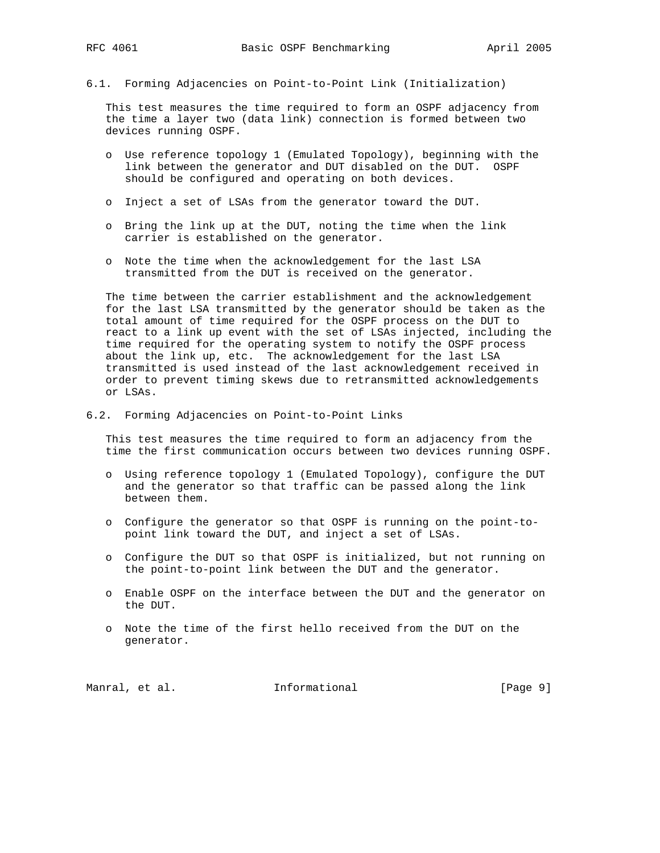6.1. Forming Adjacencies on Point-to-Point Link (Initialization)

 This test measures the time required to form an OSPF adjacency from the time a layer two (data link) connection is formed between two devices running OSPF.

- o Use reference topology 1 (Emulated Topology), beginning with the link between the generator and DUT disabled on the DUT. OSPF should be configured and operating on both devices.
- o Inject a set of LSAs from the generator toward the DUT.
- o Bring the link up at the DUT, noting the time when the link carrier is established on the generator.
- o Note the time when the acknowledgement for the last LSA transmitted from the DUT is received on the generator.

 The time between the carrier establishment and the acknowledgement for the last LSA transmitted by the generator should be taken as the total amount of time required for the OSPF process on the DUT to react to a link up event with the set of LSAs injected, including the time required for the operating system to notify the OSPF process about the link up, etc. The acknowledgement for the last LSA transmitted is used instead of the last acknowledgement received in order to prevent timing skews due to retransmitted acknowledgements or LSAs.

6.2. Forming Adjacencies on Point-to-Point Links

 This test measures the time required to form an adjacency from the time the first communication occurs between two devices running OSPF.

- o Using reference topology 1 (Emulated Topology), configure the DUT and the generator so that traffic can be passed along the link between them.
- o Configure the generator so that OSPF is running on the point-to point link toward the DUT, and inject a set of LSAs.
- o Configure the DUT so that OSPF is initialized, but not running on the point-to-point link between the DUT and the generator.
- o Enable OSPF on the interface between the DUT and the generator on the DUT.
- o Note the time of the first hello received from the DUT on the generator.

| Informational<br>Manral, et al. | [Page 9] |  |  |
|---------------------------------|----------|--|--|
|---------------------------------|----------|--|--|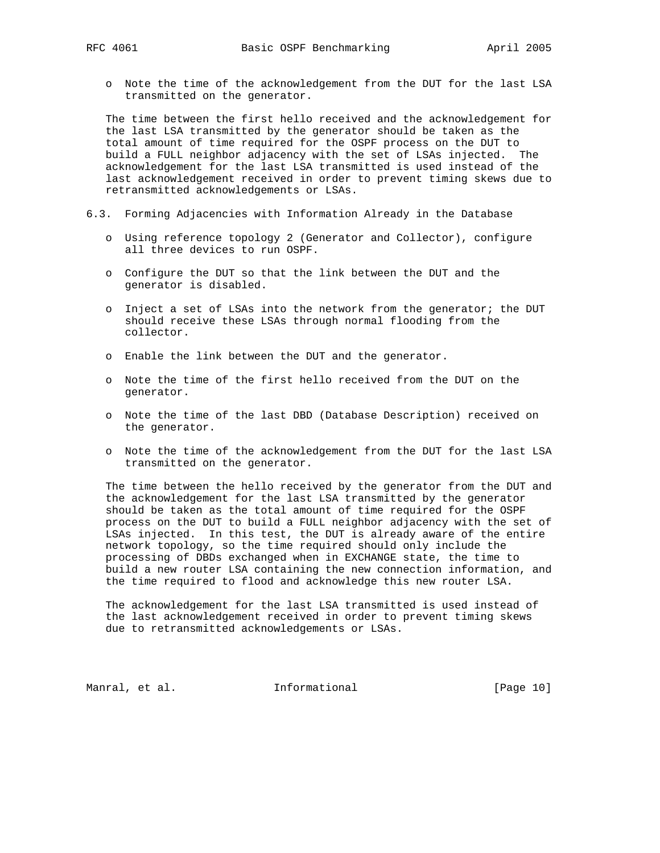o Note the time of the acknowledgement from the DUT for the last LSA transmitted on the generator.

 The time between the first hello received and the acknowledgement for the last LSA transmitted by the generator should be taken as the total amount of time required for the OSPF process on the DUT to build a FULL neighbor adjacency with the set of LSAs injected. The acknowledgement for the last LSA transmitted is used instead of the last acknowledgement received in order to prevent timing skews due to retransmitted acknowledgements or LSAs.

- 6.3. Forming Adjacencies with Information Already in the Database
	- o Using reference topology 2 (Generator and Collector), configure all three devices to run OSPF.
	- o Configure the DUT so that the link between the DUT and the generator is disabled.
	- o Inject a set of LSAs into the network from the generator; the DUT should receive these LSAs through normal flooding from the collector.
	- o Enable the link between the DUT and the generator.
	- o Note the time of the first hello received from the DUT on the generator.
	- o Note the time of the last DBD (Database Description) received on the generator.
	- o Note the time of the acknowledgement from the DUT for the last LSA transmitted on the generator.

 The time between the hello received by the generator from the DUT and the acknowledgement for the last LSA transmitted by the generator should be taken as the total amount of time required for the OSPF process on the DUT to build a FULL neighbor adjacency with the set of LSAs injected. In this test, the DUT is already aware of the entire network topology, so the time required should only include the processing of DBDs exchanged when in EXCHANGE state, the time to build a new router LSA containing the new connection information, and the time required to flood and acknowledge this new router LSA.

 The acknowledgement for the last LSA transmitted is used instead of the last acknowledgement received in order to prevent timing skews due to retransmitted acknowledgements or LSAs.

Manral, et al. 1nformational 1999 [Page 10]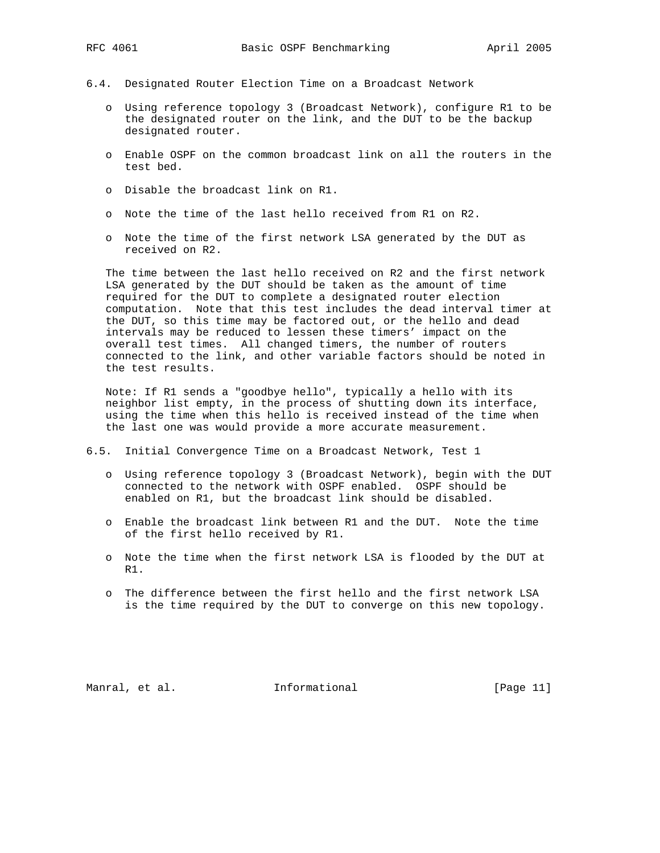- 6.4. Designated Router Election Time on a Broadcast Network
	- o Using reference topology 3 (Broadcast Network), configure R1 to be the designated router on the link, and the DUT to be the backup designated router.
	- o Enable OSPF on the common broadcast link on all the routers in the test bed.
	- o Disable the broadcast link on R1.
	- o Note the time of the last hello received from R1 on R2.
	- o Note the time of the first network LSA generated by the DUT as received on R2.

 The time between the last hello received on R2 and the first network LSA generated by the DUT should be taken as the amount of time required for the DUT to complete a designated router election computation. Note that this test includes the dead interval timer at the DUT, so this time may be factored out, or the hello and dead intervals may be reduced to lessen these timers' impact on the overall test times. All changed timers, the number of routers connected to the link, and other variable factors should be noted in the test results.

 Note: If R1 sends a "goodbye hello", typically a hello with its neighbor list empty, in the process of shutting down its interface, using the time when this hello is received instead of the time when the last one was would provide a more accurate measurement.

- 6.5. Initial Convergence Time on a Broadcast Network, Test 1
	- o Using reference topology 3 (Broadcast Network), begin with the DUT connected to the network with OSPF enabled. OSPF should be enabled on R1, but the broadcast link should be disabled.
	- o Enable the broadcast link between R1 and the DUT. Note the time of the first hello received by R1.
	- o Note the time when the first network LSA is flooded by the DUT at R1.
	- o The difference between the first hello and the first network LSA is the time required by the DUT to converge on this new topology.

Manral, et al. **Informational** [Page 11]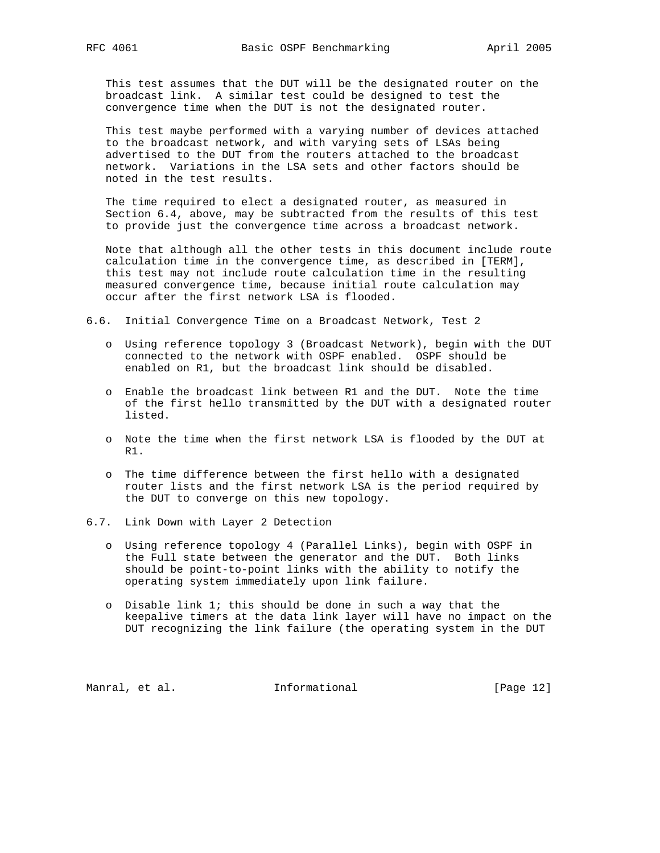This test assumes that the DUT will be the designated router on the broadcast link. A similar test could be designed to test the convergence time when the DUT is not the designated router.

 This test maybe performed with a varying number of devices attached to the broadcast network, and with varying sets of LSAs being advertised to the DUT from the routers attached to the broadcast network. Variations in the LSA sets and other factors should be noted in the test results.

 The time required to elect a designated router, as measured in Section 6.4, above, may be subtracted from the results of this test to provide just the convergence time across a broadcast network.

 Note that although all the other tests in this document include route calculation time in the convergence time, as described in [TERM], this test may not include route calculation time in the resulting measured convergence time, because initial route calculation may occur after the first network LSA is flooded.

6.6. Initial Convergence Time on a Broadcast Network, Test 2

- o Using reference topology 3 (Broadcast Network), begin with the DUT connected to the network with OSPF enabled. OSPF should be enabled on R1, but the broadcast link should be disabled.
- o Enable the broadcast link between R1 and the DUT. Note the time of the first hello transmitted by the DUT with a designated router listed.
- o Note the time when the first network LSA is flooded by the DUT at R1.
- o The time difference between the first hello with a designated router lists and the first network LSA is the period required by the DUT to converge on this new topology.
- 6.7. Link Down with Layer 2 Detection
	- o Using reference topology 4 (Parallel Links), begin with OSPF in the Full state between the generator and the DUT. Both links should be point-to-point links with the ability to notify the operating system immediately upon link failure.
	- o Disable link 1; this should be done in such a way that the keepalive timers at the data link layer will have no impact on the DUT recognizing the link failure (the operating system in the DUT

Manral, et al. 1nformational 1999 [Page 12]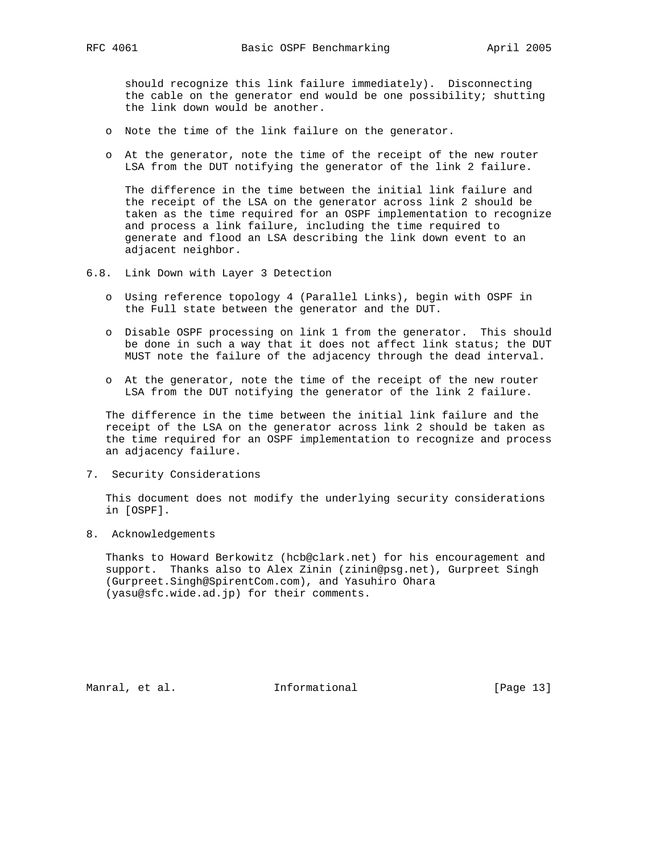should recognize this link failure immediately). Disconnecting the cable on the generator end would be one possibility; shutting the link down would be another.

- o Note the time of the link failure on the generator.
- o At the generator, note the time of the receipt of the new router LSA from the DUT notifying the generator of the link 2 failure.

 The difference in the time between the initial link failure and the receipt of the LSA on the generator across link 2 should be taken as the time required for an OSPF implementation to recognize and process a link failure, including the time required to generate and flood an LSA describing the link down event to an adjacent neighbor.

- 6.8. Link Down with Layer 3 Detection
	- o Using reference topology 4 (Parallel Links), begin with OSPF in the Full state between the generator and the DUT.
	- o Disable OSPF processing on link 1 from the generator. This should be done in such a way that it does not affect link status; the DUT MUST note the failure of the adjacency through the dead interval.
	- o At the generator, note the time of the receipt of the new router LSA from the DUT notifying the generator of the link 2 failure.

 The difference in the time between the initial link failure and the receipt of the LSA on the generator across link 2 should be taken as the time required for an OSPF implementation to recognize and process an adjacency failure.

7. Security Considerations

 This document does not modify the underlying security considerations in [OSPF].

8. Acknowledgements

 Thanks to Howard Berkowitz (hcb@clark.net) for his encouragement and support. Thanks also to Alex Zinin (zinin@psg.net), Gurpreet Singh (Gurpreet.Singh@SpirentCom.com), and Yasuhiro Ohara (yasu@sfc.wide.ad.jp) for their comments.

Manral, et al. 10 mm informational 1999 [Page 13]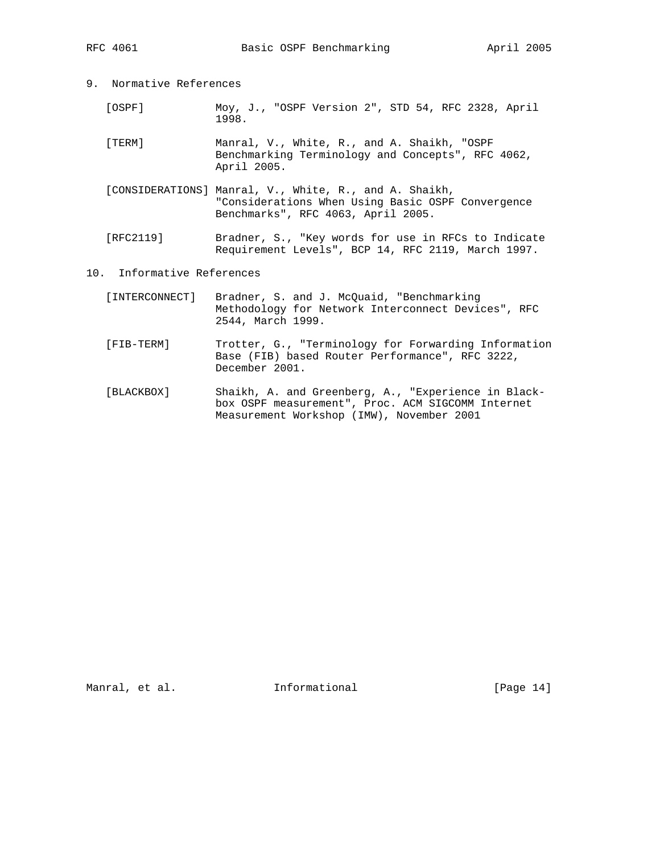- 9. Normative References
	- [OSPF] Moy, J., "OSPF Version 2", STD 54, RFC 2328, April 1998.
	- [TERM] Manral, V., White, R., and A. Shaikh, "OSPF Benchmarking Terminology and Concepts", RFC 4062, April 2005.
	- [CONSIDERATIONS] Manral, V., White, R., and A. Shaikh, "Considerations When Using Basic OSPF Convergence Benchmarks", RFC 4063, April 2005.
	- [RFC2119] Bradner, S., "Key words for use in RFCs to Indicate Requirement Levels", BCP 14, RFC 2119, March 1997.
- 10. Informative References
	- [INTERCONNECT] Bradner, S. and J. McQuaid, "Benchmarking Methodology for Network Interconnect Devices", RFC 2544, March 1999.
	- [FIB-TERM] Trotter, G., "Terminology for Forwarding Information Base (FIB) based Router Performance", RFC 3222, December 2001.
	- [BLACKBOX] Shaikh, A. and Greenberg, A., "Experience in Black box OSPF measurement", Proc. ACM SIGCOMM Internet Measurement Workshop (IMW), November 2001

Manral, et al. 10 Informational 1999 [Page 14]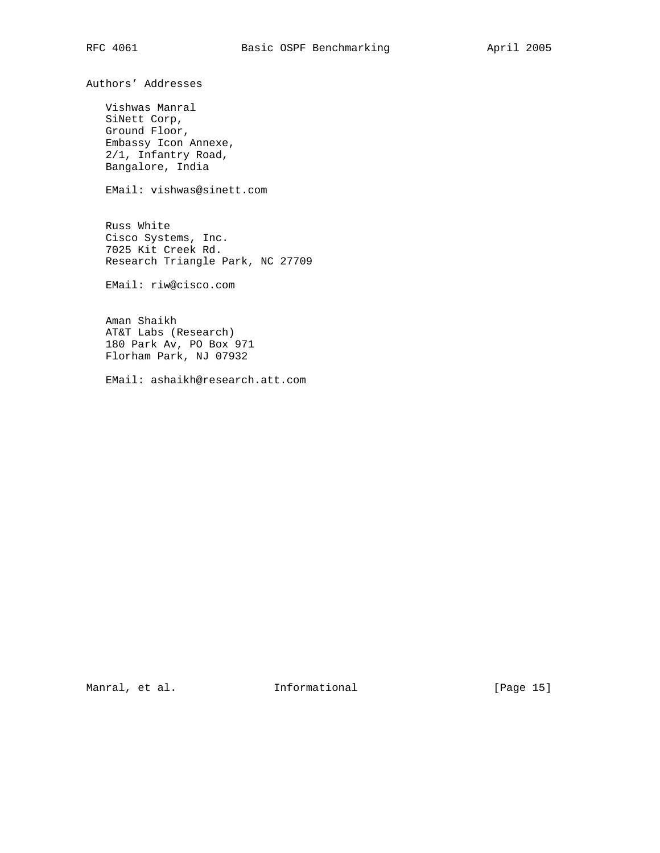Authors' Addresses

 Vishwas Manral SiNett Corp, Ground Floor, Embassy Icon Annexe, 2/1, Infantry Road, Bangalore, India

EMail: vishwas@sinett.com

 Russ White Cisco Systems, Inc. 7025 Kit Creek Rd. Research Triangle Park, NC 27709

EMail: riw@cisco.com

 Aman Shaikh AT&T Labs (Research) 180 Park Av, PO Box 971 Florham Park, NJ 07932

EMail: ashaikh@research.att.com

Manral, et al. 10 Informational 1999 [Page 15]